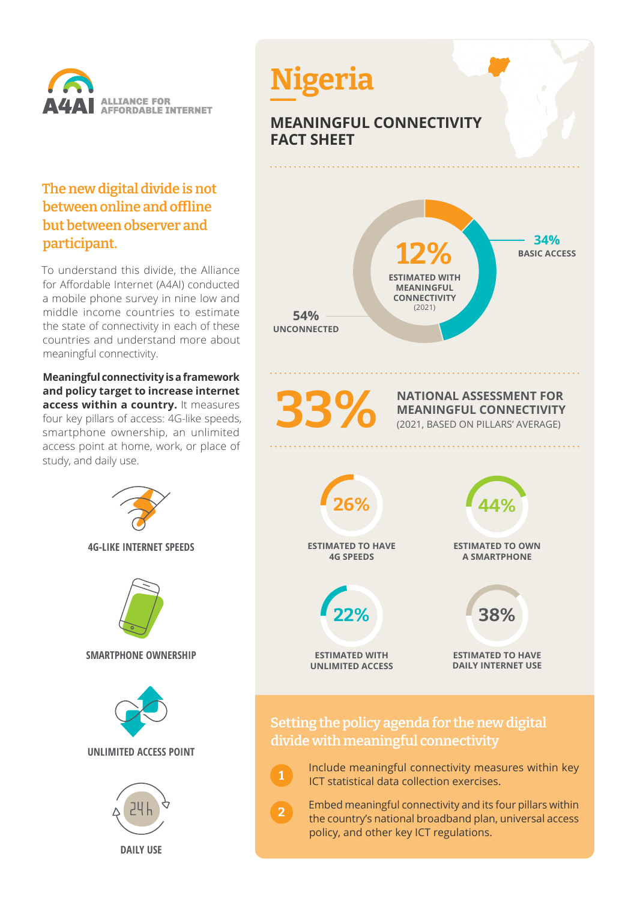

## **The new digital divide is not between online and offline but between observer and participant.**

To understand this divide, the Alliance for Affordable Internet (A4AI) conducted a mobile phone survey in nine low and middle income countries to estimate the state of connectivity in each of these countries and understand more about meaningful connectivity.

**Meaningful connectivity is a framework and policy target to increase internet access within a country.** It measures four key pillars of access: 4G-like speeds, smartphone ownership, an unlimited access point at home, work, or place of study, and daily use.





 Include meaningful connectivity measures within key ICT statistical data collection exercises.

**1**

**2**

 Embed meaningful connectivity and its four pillars within the country's national broadband plan, universal access policy, and other key ICT regulations.